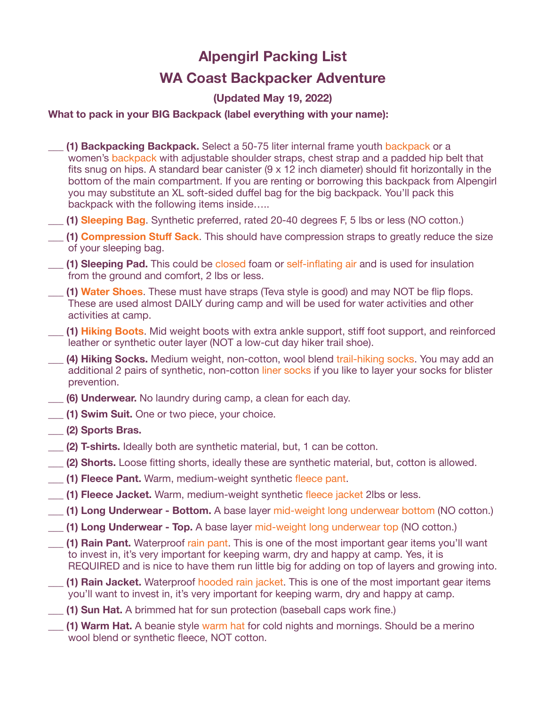# **Alpengirl Packing List WA Coast Backpacker Adventure**

## **(Updated May 19, 2022)**

### **What to pack in your BIG Backpack (label everything with your name):**

- **(1) Backpacking Backpack.** Select a 50-75 liter internal frame youth [backpack](https://www.rei.com/product/878459/osprey-ace-50-pack-kids?sku=8784590001&store=136&cm_mmc=PLA_Google_LIA%7C404_194457%7C8784590001%7Cnone%7C3def8b55-8c95-48fd-b1b5-97b907b3c6ee%7Caud-553371945779:pla-306934641723&lsft=cm_mmc:PLA_Google_LIA%7C404_194457%7C8784590001%7Cnone%7C3def8b55-8c95-48fd-b1b5-97b907b3c6ee&kclid=3def8b55-8c95-48fd-b1b5-97b907b3c6ee&gclid=CjwKCAiAwojkBRBbEiwAeRcJZEehA_1yAa5-1_aAhLWNvnQjxsBlZGqSaeYjKU3cufy5exZRdFStwRoCkyQQAvD_BwE) or a women's [backpack](https://www.rei.com/product/144663/osprey-renn-65-pack-womens) with adjustable shoulder straps, chest strap and a padded hip belt that fits snug on hips. A standard bear canister (9 x 12 inch diameter) should fit horizontally in the bottom of the main compartment. If you are renting or borrowing this backpack from Alpengirl you may substitute an XL soft-sided duffel bag for the big backpack. You'll pack this backpack with the following items inside…..
- \_\_\_ **(1) [Sleeping Bag](https://www.rei.com/product/107476/marmot-trestles-30-sleeping-bag-womens)**. Synthetic preferred, rated 20-40 degrees F, 5 lbs or less (NO cotton.)
- **(1) [Compression Stu](https://www.rei.com/product/118854/rei-co-op-lightweight-compression-stuff-sack?sku=1188540003&store=136&cm_mmc=PLA_Google_LIA%7C404_1050516181%7C1188540003%7Cnone%7C3def8b55-8c95-48fd-b1b5-97b907b3c6ee%7Caud-553371945779:pla-489509931006&lsft=cm_mmc:PLA_Google_LIA%7C404_1050516181%7C1188540003%7Cnone%7C3def8b55-8c95-48fd-b1b5-97b907b3c6ee&kclid=3def8b55-8c95-48fd-b1b5-97b907b3c6ee&gclid=CjwKCAiAwojkBRBbEiwAeRcJZHdhL0k50EDZ1RX5eNzj0mFOis831_KTTx1wbPoai9oEVzfIbvKpShoC2gUQAvD_BwE)ff Sack**. This should have compression straps to greatly reduce the size of your sleeping bag.
- \_\_\_ **(1) Sleeping Pad.** This could be [closed](https://www.rei.com/product/810386/therm-a-rest-ridgerest-solite-sleeping-pad) foam or [self-inflating](https://www.rei.com/product/105156/big-agnes-air-core-ultra-sleeping-pad) air and is used for insulation from the ground and comfort, 2 lbs or less.
- \_\_\_ **(1) [Water Shoes](https://www.campmor.com/products/teva-verra-sandals-womens)**. These must have straps (Teva style is good) and may NOT be flip flops. These are used almost DAILY during camp and will be used for water activities and other activities at camp.
- \_**\_\_ (1) [Hiking Boots](https://www.campmor.com/products/merrell-moab-2-vent-mid-hiking-boot-womens)**. Mid weight boots with extra ankle support, stiff foot support, and reinforced leather or synthetic outer layer (NOT a low-cut day hiker trail shoe).
- \_\_\_ **(4) Hiking Socks.** Medium weight, non-cotton, wool blend [trail-hiking socks.](https://www.rei.com/product/128820/darn-tough-hiker-boot-sock-cushion-socks-womens) You may add an additional 2 pairs of synthetic, non-cotton [liner socks](https://www.campmor.com/products/coolmax-liner-sock) if you like to layer your socks for blister prevention.
- \_\_\_ **(6) Underwear.** No laundry during camp, a clean for each day.
- **(1) Swim Suit.** One or two piece, your choice.
- \_\_\_ **(2) Sports Bras.**
- \_\_\_ **(2) T-shirts.** Ideally both are synthetic material, but, 1 can be cotton.
- **(2) Shorts.** Loose fitting shorts, ideally these are synthetic material, but, cotton is allowed.
- **(1) Fleece Pant.** Warm, medium-weight synthetic [fleece pant.](https://www.rei.com/product/127446/rei-co-op-teton-fleece-pants-womens-tall)
- \_\_\_ **(1) Fleece Jacket.** Warm, medium-weight synthetic [fleece jacket](https://www.campmor.com/collections/columbia/products/columbia-fast-trek-ii-fleece-jacket-womens) 2lbs or less.
- \_\_\_ **(1) Long Underwear Bottom.** A base layer [mid-weight long underwear bottom](https://www.rei.com/product/121928/rei-co-op-midweight-base-layer-tights-womens) (NO cotton.)
- **(1) Long Underwear Top.** A base layer [mid-weight long underwear top](https://www.campmor.com/products/terramar-2-0-cloud-nine-cs-midweight-long-sleeve-scoopneck-shirt-womens) (NO cotton.)
- \_\_\_ **(1) Rain Pant.** Waterproof [rain pant.](https://www.rei.com/product/137553/rei-co-op-essential-rain-pants-womens) This is one of the most important gear items you'll want to invest in, it's very important for keeping warm, dry and happy at camp. Yes, it is REQUIRED and is nice to have them run little big for adding on top of layers and growing into.
- \_\_\_ **(1) Rain Jacket.** Waterproof [hooded rain jacket.](https://www.rei.com/product/127274/rei-co-op-rainier-rain-jacket-womens) This is one of the most important gear items you'll want to invest in, it's very important for keeping warm, dry and happy at camp.
- \_\_\_ **(1) Sun Hat.** A brimmed hat for sun protection (baseball caps work fine.)
- \_\_\_ **(1) Warm Hat.** A beanie style [warm hat](https://pistildesigns.com/products/sidekick?variant=12234861543513&_vsrefdom=adwords&gclid=CjwKCAiAwojkBRBbEiwAeRcJZMY2mbxJjX43w_t69fdqYiBpqA_jmJq_keJwGUAqFiiAPLe36Gi36BoC8UsQAvD_BwE) for cold nights and mornings. Should be a merino wool blend or synthetic fleece, NOT cotton.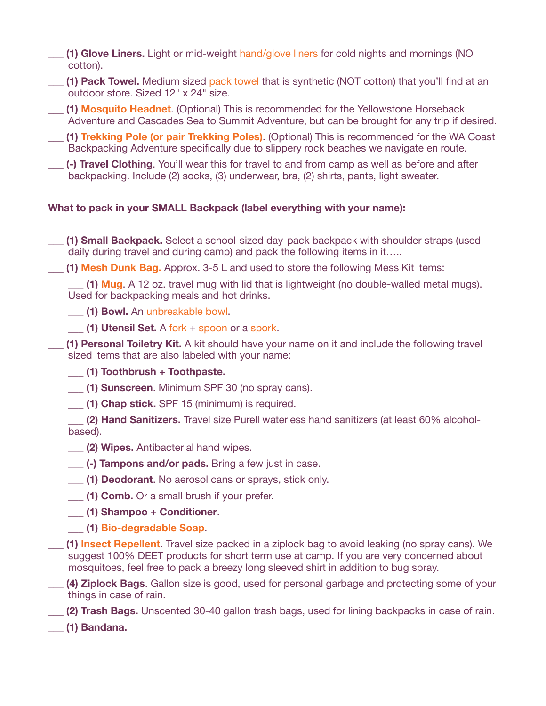- \_\_\_ **(1) Glove Liners.** Light or mid-weight [hand/glove liners](https://www.campmor.com/products/terramar-thermasilk-cs-silk-glove-liners-youth) for cold nights and mornings (NO cotton).
- \_\_\_ **(1) Pack Towel.** Medium sized [pack towel](https://www.rei.com/product/127504/rei-co-op-multi-towel-lite) that is synthetic (NOT cotton) that you'll find at an outdoor store. Sized 12" x 24" size.
- \_\_\_ **(1) [Mosquito Headnet](https://www.campmor.com/products/bens-ultranet-head-net)**. (Optional) This is recommended for the Yellowstone Horseback Adventure and Cascades Sea to Summit Adventure, but can be brought for any trip if desired.
- \_\_\_ **(1) [Trekking Pole \(or pair Trekking Poles\)](https://www.rei.com/product/198712/leki-vario-xs-trekking-poles-pair-kids)**. (Optional) This is recommended for the WA Coast Backpacking Adventure specifically due to slippery rock beaches we navigate en route.
- \_\_\_ **(-) Travel Clothing**. You'll wear this for travel to and from camp as well as before and after backpacking. Include (2) socks, (3) underwear, bra, (2) shirts, pants, light sweater.

## **What to pack in your SMALL Backpack (label everything with your name):**

- \_\_\_ **(1) Small Backpack.** Select a school-sized day-pack backpack with shoulder straps (used daily during travel and during camp) and pack the following items in it…..
- **(1) [Mesh Dunk Bag.](https://www.rei.com/product/118851/rei-co-op-mesh-stuff-sack?sku=1188510002&store=136&cm_mmc=PLA_Google_LIA%7C404_1050560217%7C1188510002%7Cnone%7C49a360d4-1fd0-4419-b502-abef614eb0b8%7Caud-363396065244:pla-296303633664&lsft=cm_mmc:PLA_Google_LIA%7C404_1050560217%7C1188510002%7Cnone%7C49a360d4-1fd0-4419-b502-abef614eb0b8&kclid=49a360d4-1fd0-4419-b502-abef614eb0b8&gclid=CjwKCAjwo9rtBRAdEiwA_WXcFi9X93Chl7QTjQMDsGhMrGQ5Nh_WM8rD_b3UuEMI1oY8RVItHIrt-xoCJpAQAvD_BwE)** Approx. 3-5 L and used to store the following Mess Kit items:

\_\_\_ **(1) [Mug](https://www.rei.com/product/884337/gsi-outdoors-infinity-backpacker-mug)**. A 12 oz. travel mug with lid that is lightweight (no double-walled metal mugs). Used for backpacking meals and hot drinks.

- \_\_\_ **(1) Bowl.** An [unbreakable bowl](https://www.rei.com/product/782971/sea-to-summit-delta-bowl).
- \_\_\_ **(1) Utensil Set.** A [fork](https://www.rei.com/product/895374/gsi-outdoors-fork) + [spoon](https://www.rei.com/product/895373/gsi-outdoors-table-spoon) or a [spork](https://www.rei.com/product/131279/humangear-gobites-uno-spork).
- \_\_\_ **(1) Personal Toiletry Kit.** A kit should have your name on it and include the following travel sized items that are also labeled with your name:

#### \_\_\_ **(1) Toothbrush + Toothpaste.**

- \_\_\_ **(1) Sunscreen**. Minimum SPF 30 (no spray cans).
- \_\_\_ **(1) Chap stick.** SPF 15 (minimum) is required.
- **(2) Hand Sanitizers.** Travel size Purell waterless hand sanitizers (at least 60% alcoholbased).
- **(2) Wipes.** Antibacterial hand wipes.
- \_\_\_ **(-) Tampons and/or pads.** Bring a few just in case.
- \_\_\_ **(1) Deodorant**. No aerosol cans or sprays, stick only.
- \_\_\_ **(1) Comb.** Or a small brush if your prefer.
- \_\_\_ **(1) Shampoo + Conditioner**.
- \_\_\_ **(1) [Bio-degradable Soap](https://www.campmor.com/collections/dr-bronners/products/dr-bronners-castile-liquid-soap)**.
- \_\_\_ **(1) [Insect Repellent](http://www.rei.com/product/784606/bens-100-max-formula-insect-repellent-125-oz)**. Travel size packed in a ziplock bag to avoid leaking (no spray cans). We suggest 100% DEET products for short term use at camp. If you are very concerned about mosquitoes, feel free to pack a breezy long sleeved shirt in addition to bug spray.
- \_\_\_ **(4) Ziplock Bags**. Gallon size is good, used for personal garbage and protecting some of your things in case of rain.
- \_\_\_ **(2) Trash Bags.** Unscented 30-40 gallon trash bags, used for lining backpacks in case of rain.
- \_\_\_ **(1) Bandana.**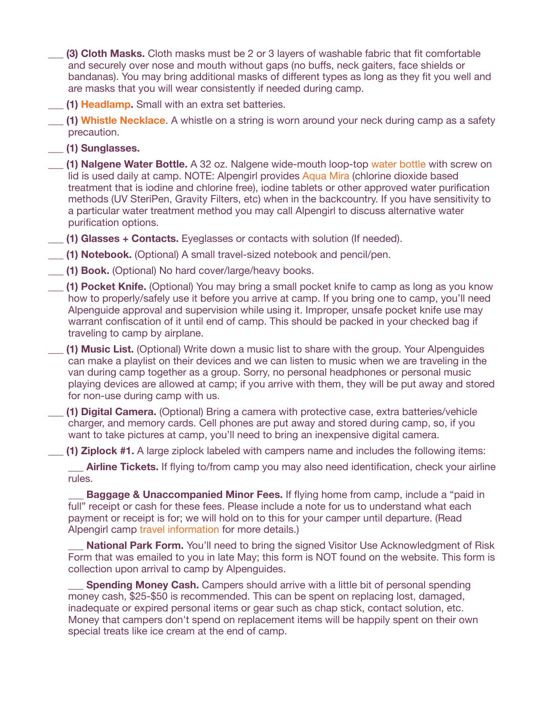**(3) Cloth Masks.** Cloth masks must be 2 or 3 layers of washable fabric that fit comfortable and securely over nose and mouth without gaps (no buffs, neck gaiters, face shields or bandanas). You may bring additional masks of different types as long as they fit you well and are masks that you will wear consistently if needed during camp.

\_\_\_ **(1) [Headlamp.](https://www.rei.com/product/109856/petzl-tikka-headlamp)** Small with an extra set batteries.

**(1) [Whistle Necklace](https://www.campmor.com/c/coghlans-safety-whistle-88089)**. A whistle on a string is worn around your neck during camp as a safety precaution.

\_\_\_ **(1) Sunglasses.** 

\_\_\_ **(1) Nalgene Water Bottle.** A 32 oz. Nalgene wide-mouth loop-top [water bottle](https://www.rei.com/product/141628/nalgene-wide-mouth-water-bottle-32-fl-oz) with screw on lid is used daily at camp. NOTE: Alpengirl provides [Aqua Mira](http://aquamira.com/consumer/aquamira-water-treatment-drops/) (chlorine dioxide based treatment that is iodine and chlorine free), iodine tablets or other approved water purification methods (UV SteriPen, Gravity Filters, etc) when in the backcountry. If you have sensitivity to a particular water treatment method you may call Alpengirl to discuss alternative water purification options.

\_\_\_ **(1) Glasses + Contacts.** Eyeglasses or contacts with solution (If needed).

\_\_\_ **(1) Notebook.** (Optional) A small travel-sized notebook and pencil/pen.

**(1) Book.** (Optional) No hard cover/large/heavy books.

\_\_\_ **(1) Pocket Knife.** (Optional) You may bring a small pocket knife to camp as long as you know how to properly/safely use it before you arrive at camp. If you bring one to camp, you'll need Alpenguide approval and supervision while using it. Improper, unsafe pocket knife use may warrant confiscation of it until end of camp. This should be packed in your checked bag if traveling to camp by airplane.

\_\_\_ **(1) Music List.** (Optional) Write down a music list to share with the group. Your Alpenguides can make a playlist on their devices and we can listen to music when we are traveling in the van during camp together as a group. Sorry, no personal headphones or personal music playing devices are allowed at camp; if you arrive with them, they will be put away and stored for non-use during camp with us.

\_\_\_ **(1) Digital Camera.** (Optional) Bring a camera with protective case, extra batteries/vehicle charger, and memory cards. Cell phones are put away and stored during camp, so, if you want to take pictures at camp, you'll need to bring an inexpensive digital camera.

**\_\_\_ (1) Ziplock #1.** A large ziplock labeled with campers name and includes the following items:

**Airline Tickets.** If flying to/from camp you may also need identification, check your airline rules.

**Baggage & Unaccompanied Minor Fees.** If flying home from camp, include a "paid in full" receipt or cash for these fees. Please include a note for us to understand what each payment or receipt is for; we will hold on to this for your camper until departure. (Read Alpengirl camp [travel information](https://www.alpengirlcamp.com/pre-trip-planning/camp-travel-information) for more details.)

**National Park Form.** You'll need to bring the signed Visitor Use Acknowledgment of Risk Form that was emailed to you in late May; this form is NOT found on the website. This form is collection upon arrival to camp by Alpenguides.

**Spending Money Cash.** Campers should arrive with a little bit of personal spending money cash, \$25-\$50 is recommended. This can be spent on replacing lost, damaged, inadequate or expired personal items or gear such as chap stick, contact solution, etc. Money that campers don't spend on replacement items will be happily spent on their own special treats like ice cream at the end of camp.